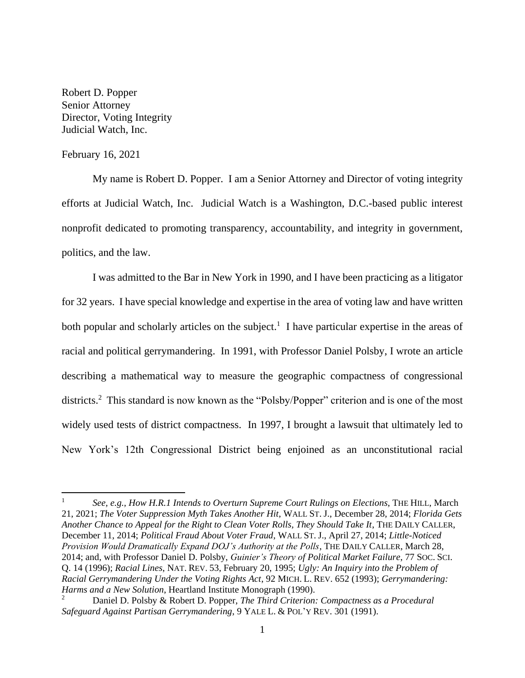Robert D. Popper Senior Attorney Director, Voting Integrity Judicial Watch, Inc.

## February 16, 2021

My name is Robert D. Popper. I am a Senior Attorney and Director of voting integrity efforts at Judicial Watch, Inc. Judicial Watch is a Washington, D.C.-based public interest nonprofit dedicated to promoting transparency, accountability, and integrity in government, politics, and the law.

I was admitted to the Bar in New York in 1990, and I have been practicing as a litigator for 32 years. I have special knowledge and expertise in the area of voting law and have written both popular and scholarly articles on the subject.<sup>1</sup> I have particular expertise in the areas of racial and political gerrymandering. In 1991, with Professor Daniel Polsby, I wrote an article describing a mathematical way to measure the geographic compactness of congressional districts.<sup>2</sup> This standard is now known as the "Polsby/Popper" criterion and is one of the most widely used tests of district compactness. In 1997, I brought a lawsuit that ultimately led to New York's 12th Congressional District being enjoined as an unconstitutional racial

<sup>1</sup> *See, e.g., How H.R.1 Intends to Overturn Supreme Court Rulings on Elections*, THE HILL, March 21, 2021; *The Voter Suppression Myth Takes Another Hit*, WALL ST. J., December 28, 2014; *Florida Gets Another Chance to Appeal for the Right to Clean Voter Rolls, They Should Take It*, THE DAILY CALLER, December 11, 2014; *Political Fraud About Voter Fraud*, WALL ST. J., April 27, 2014; *Little-Noticed Provision Would Dramatically Expand DOJ's Authority at the Polls*, THE DAILY CALLER, March 28, 2014; and*,* with Professor Daniel D. Polsby, *Guinier's Theory of Political Market Failure*, 77 SOC. SCI. Q. 14 (1996); *Racial Lines*, NAT. REV. 53, February 20, 1995; *Ugly: An Inquiry into the Problem of Racial Gerrymandering Under the Voting Rights Act*, 92 MICH. L. REV. 652 (1993); *Gerrymandering: Harms and a New Solution*, Heartland Institute Monograph (1990).

<sup>2</sup> Daniel D. Polsby & Robert D. Popper, *The Third Criterion: Compactness as a Procedural Safeguard Against Partisan Gerrymandering*, 9 YALE L. & POL'Y REV. 301 (1991).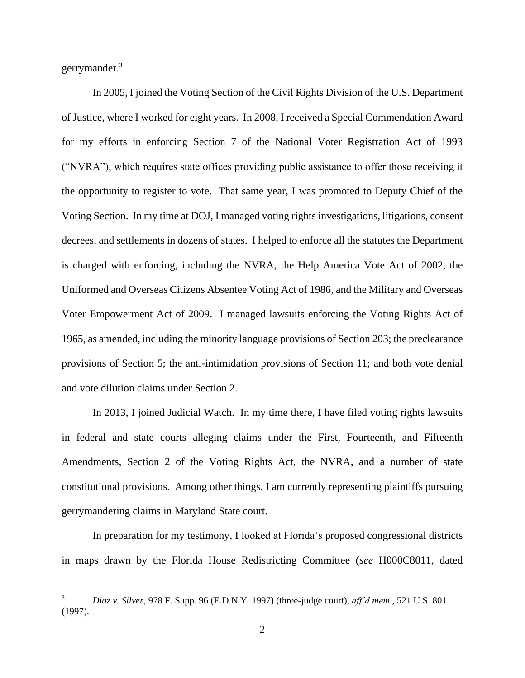gerrymander. 3

In 2005, I joined the Voting Section of the Civil Rights Division of the U.S. Department of Justice, where I worked for eight years. In 2008, I received a Special Commendation Award for my efforts in enforcing Section 7 of the National Voter Registration Act of 1993 ("NVRA"), which requires state offices providing public assistance to offer those receiving it the opportunity to register to vote. That same year, I was promoted to Deputy Chief of the Voting Section. In my time at DOJ, I managed voting rights investigations, litigations, consent decrees, and settlements in dozens of states. I helped to enforce all the statutes the Department is charged with enforcing, including the NVRA, the Help America Vote Act of 2002, the Uniformed and Overseas Citizens Absentee Voting Act of 1986, and the Military and Overseas Voter Empowerment Act of 2009. I managed lawsuits enforcing the Voting Rights Act of 1965, as amended, including the minority language provisions of Section 203; the preclearance provisions of Section 5; the anti-intimidation provisions of Section 11; and both vote denial and vote dilution claims under Section 2.

In 2013, I joined Judicial Watch. In my time there, I have filed voting rights lawsuits in federal and state courts alleging claims under the First, Fourteenth, and Fifteenth Amendments, Section 2 of the Voting Rights Act, the NVRA, and a number of state constitutional provisions. Among other things, I am currently representing plaintiffs pursuing gerrymandering claims in Maryland State court.

In preparation for my testimony, I looked at Florida's proposed congressional districts in maps drawn by the Florida House Redistricting Committee (*see* H000C8011, dated

<sup>3</sup> *Diaz v. Silver*, 978 F. Supp. 96 (E.D.N.Y. 1997) (three-judge court), *aff'd mem.*, 521 U.S. 801 (1997).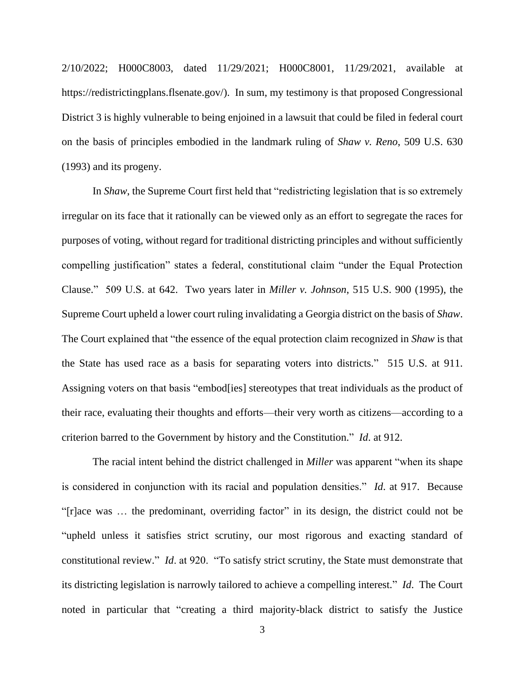2/10/2022; H000C8003, dated 11/29/2021; H000C8001, 11/29/2021, available at https://redistrictingplans.flsenate.gov/). In sum, my testimony is that proposed Congressional District 3 is highly vulnerable to being enjoined in a lawsuit that could be filed in federal court on the basis of principles embodied in the landmark ruling of *Shaw v. Reno*, 509 U.S. 630 (1993) and its progeny.

In *Shaw*, the Supreme Court first held that "redistricting legislation that is so extremely irregular on its face that it rationally can be viewed only as an effort to segregate the races for purposes of voting, without regard for traditional districting principles and without sufficiently compelling justification" states a federal, constitutional claim "under the Equal Protection Clause." 509 U.S. at 642. Two years later in *Miller v. Johnson*, 515 U.S. 900 (1995), the Supreme Court upheld a lower court ruling invalidating a Georgia district on the basis of *Shaw*. The Court explained that "the essence of the equal protection claim recognized in *Shaw* is that the State has used race as a basis for separating voters into districts." 515 U.S. at 911. Assigning voters on that basis "embod[ies] stereotypes that treat individuals as the product of their race, evaluating their thoughts and efforts—their very worth as citizens—according to a criterion barred to the Government by history and the Constitution." *Id*. at 912.

The racial intent behind the district challenged in *Miller* was apparent "when its shape is considered in conjunction with its racial and population densities." *Id*. at 917. Because "[r]ace was … the predominant, overriding factor" in its design, the district could not be "upheld unless it satisfies strict scrutiny, our most rigorous and exacting standard of constitutional review." *Id*. at 920. "To satisfy strict scrutiny, the State must demonstrate that its districting legislation is narrowly tailored to achieve a compelling interest." *Id*. The Court noted in particular that "creating a third majority-black district to satisfy the Justice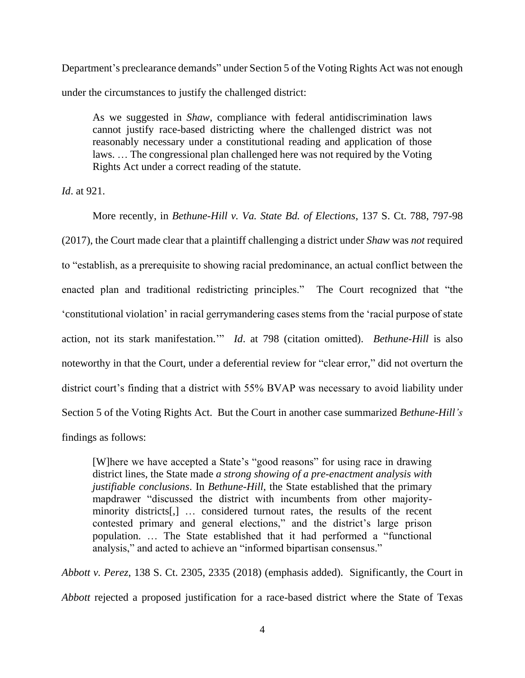Department's preclearance demands" under Section 5 of the Voting Rights Act was not enough under the circumstances to justify the challenged district:

As we suggested in *Shaw*, compliance with federal antidiscrimination laws cannot justify race-based districting where the challenged district was not reasonably necessary under a constitutional reading and application of those laws. … The congressional plan challenged here was not required by the Voting Rights Act under a correct reading of the statute.

*Id*. at 921.

More recently, in *Bethune-Hill v. Va. State Bd. of Elections*, 137 S. Ct. 788, 797-98 (2017), the Court made clear that a plaintiff challenging a district under *Shaw* was *not* required to "establish, as a prerequisite to showing racial predominance, an actual conflict between the enacted plan and traditional redistricting principles." The Court recognized that "the 'constitutional violation' in racial gerrymandering cases stems from the 'racial purpose of state action, not its stark manifestation.'" *Id*. at 798 (citation omitted). *Bethune-Hill* is also noteworthy in that the Court, under a deferential review for "clear error," did not overturn the district court's finding that a district with 55% BVAP was necessary to avoid liability under Section 5 of the Voting Rights Act. But the Court in another case summarized *Bethune-Hill's* findings as follows:

[W]here we have accepted a State's "good reasons" for using race in drawing district lines, the State made *a strong showing of a pre-enactment analysis with justifiable conclusions*. In *Bethune-Hill*, the State established that the primary mapdrawer "discussed the district with incumbents from other majorityminority districts[,] … considered turnout rates, the results of the recent contested primary and general elections," and the district's large prison population. … The State established that it had performed a "functional analysis," and acted to achieve an "informed bipartisan consensus."

*Abbott v. Perez*, 138 S. Ct. 2305, 2335 (2018) (emphasis added). Significantly, the Court in *Abbott* rejected a proposed justification for a race-based district where the State of Texas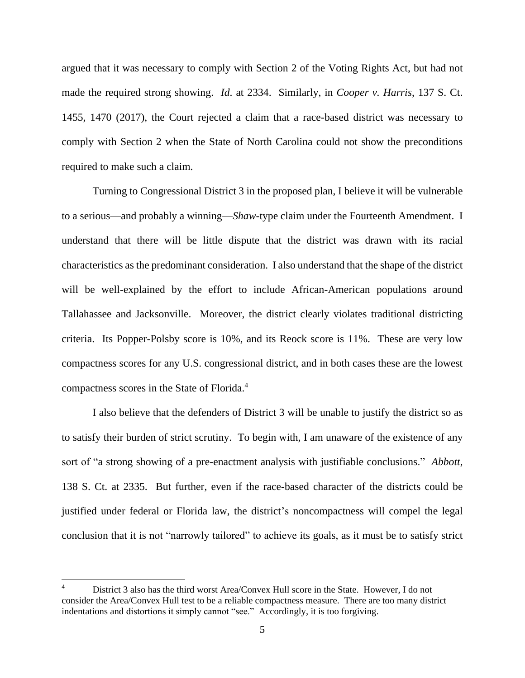argued that it was necessary to comply with Section 2 of the Voting Rights Act, but had not made the required strong showing. *Id*. at 2334. Similarly, in *Cooper v. Harris*, 137 S. Ct. 1455, 1470 (2017), the Court rejected a claim that a race-based district was necessary to comply with Section 2 when the State of North Carolina could not show the preconditions required to make such a claim.

Turning to Congressional District 3 in the proposed plan, I believe it will be vulnerable to a serious—and probably a winning—*Shaw*-type claim under the Fourteenth Amendment. I understand that there will be little dispute that the district was drawn with its racial characteristics as the predominant consideration. I also understand that the shape of the district will be well-explained by the effort to include African-American populations around Tallahassee and Jacksonville. Moreover, the district clearly violates traditional districting criteria. Its Popper-Polsby score is 10%, and its Reock score is 11%. These are very low compactness scores for any U.S. congressional district, and in both cases these are the lowest compactness scores in the State of Florida. 4

I also believe that the defenders of District 3 will be unable to justify the district so as to satisfy their burden of strict scrutiny. To begin with, I am unaware of the existence of any sort of "a strong showing of a pre-enactment analysis with justifiable conclusions." *Abbott*, 138 S. Ct. at 2335. But further, even if the race-based character of the districts could be justified under federal or Florida law, the district's noncompactness will compel the legal conclusion that it is not "narrowly tailored" to achieve its goals, as it must be to satisfy strict

District 3 also has the third worst Area/Convex Hull score in the State. However, I do not consider the Area/Convex Hull test to be a reliable compactness measure. There are too many district indentations and distortions it simply cannot "see." Accordingly, it is too forgiving.